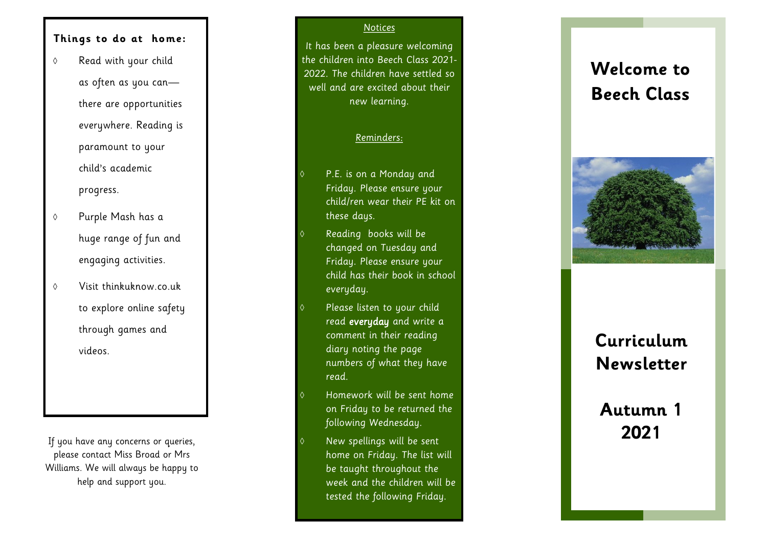#### **Things to do at home:**

- Read with your child as often as you can there are opportunities everywhere. Reading is paramount to your child's academic progress.
- Purple Mash has a huge range of fun and engaging activities.
- $\Diamond$  Visit thinkuknow.co.uk to explore online safety through games and videos.

If you have any concerns or queries, please contact Miss Broad or Mrs Williams. We will always be happy to help and support you.

#### Notices

It has been a pleasure welcoming the children into Beech Class 2021 - 2022. The children have settled so well and are excited about their new learning.

#### Reminders:

- P.E. is on a Monday and Friday. Please ensure your child/ren wear their PE kit on these days.
- Reading books will be changed on Tuesday and Friday. Please ensure your child has their book in school everyday.
- Please listen to your child read everyday and write a comment in their reading diary noting the page numbers of what they have read.
- Homework will be sent home on Friday to be returned the following Wednesday.
- New spellings will be sent home on Friday. The list will be taught throughout the week and the children will be tested the following Friday.

# **Welcome to Beech Class**



# **Curriculum Newsletter**

# **Autumn 1 2021**